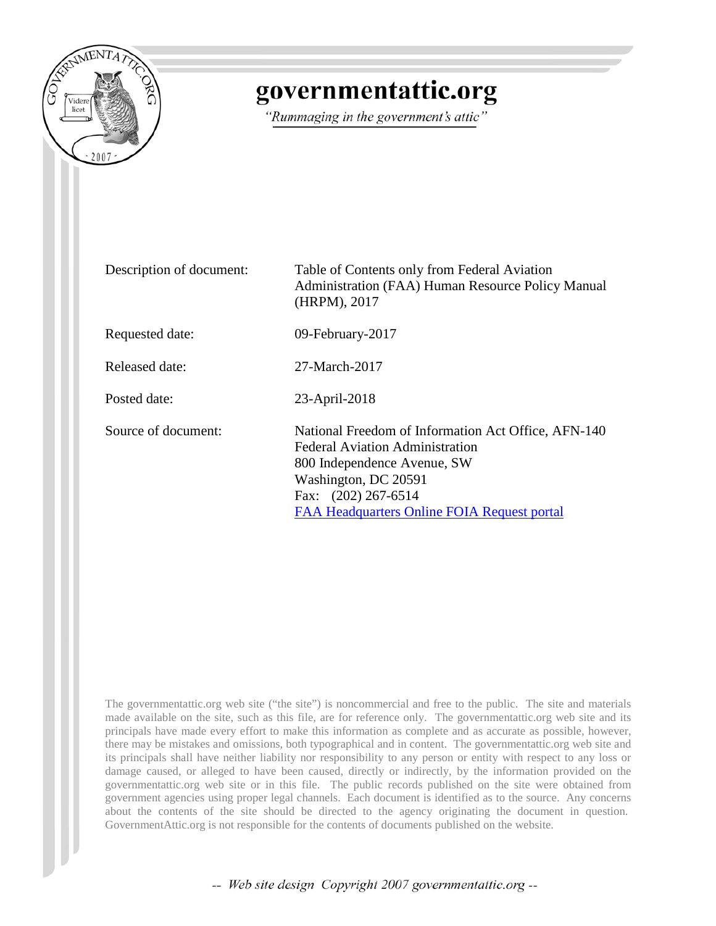

## governmentattic.org

"Rummaging in the government's attic"

| Description of document: | Table of Contents only from Federal Aviation<br>Administration (FAA) Human Resource Policy Manual<br>(HRPM), 2017                                                                                                          |
|--------------------------|----------------------------------------------------------------------------------------------------------------------------------------------------------------------------------------------------------------------------|
| Requested date:          | 09-February-2017                                                                                                                                                                                                           |
| Released date:           | 27-March-2017                                                                                                                                                                                                              |
| Posted date:             | 23-April-2018                                                                                                                                                                                                              |
| Source of document:      | National Freedom of Information Act Office, AFN-140<br><b>Federal Aviation Administration</b><br>800 Independence Avenue, SW<br>Washington, DC 20591<br>Fax: (202) 267-6514<br>FAA Headquarters Online FOIA Request portal |

The governmentattic.org web site ("the site") is noncommercial and free to the public. The site and materials made available on the site, such as this file, are for reference only. The governmentattic.org web site and its principals have made every effort to make this information as complete and as accurate as possible, however, there may be mistakes and omissions, both typographical and in content. The governmentattic.org web site and its principals shall have neither liability nor responsibility to any person or entity with respect to any loss or damage caused, or alleged to have been caused, directly or indirectly, by the information provided on the governmentattic.org web site or in this file. The public records published on the site were obtained from government agencies using proper legal channels. Each document is identified as to the source. Any concerns about the contents of the site should be directed to the agency originating the document in question. GovernmentAttic.org is not responsible for the contents of documents published on the website.

-- Web site design Copyright 2007 governmentattic.org --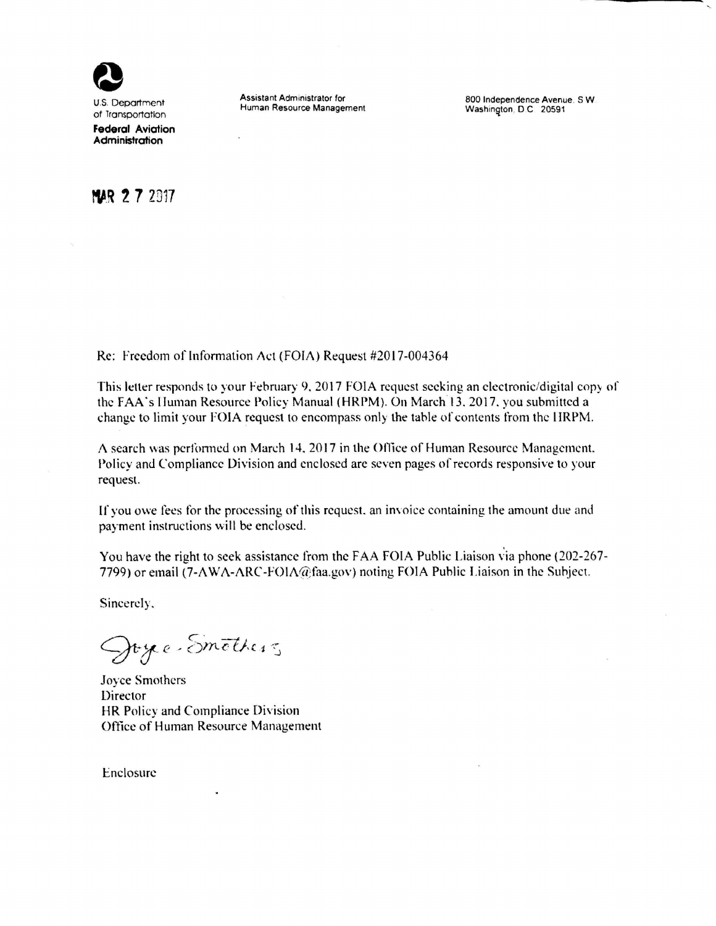

U.S. Department of lransportatlon **Federal Aviation Administration** 

Assistant Administrator for Human Resource Management

800 Independence Avenue. SW Washington, D.C. 20591

## **<sup>f</sup>'\aR 2 7** 2017

Re: Freedom of Information Act (FOIA) Request #2017-004364

This letter responds to your February 9. 2017 FOIA request seeking an electronic/digital copy or the FAA"s lluman Resource Policy Manual (HRPM). On March 13. 2017. you submitted a change to limit your FOIA request to encompass only the table of contents from the 11RPM.

A search was performed on March 14, 2017 in the Office of Human Resource Management. Policy and Compliance Division and enclosed are seven pages of records responsive to your request.

If you owe fees for the processing of this request, an invoice containing the amount due and payment instructions will be enclosed.

You have the right to seek assistance from the FAA FOIA Public Liaison via phone (202-267- 7799) or email (7-AWA-ARC-FOIA@faa.gov) noting FOIA Public Liaison in the Subject.

Sincerely.

Joyce-Smothers

Joyce Smothers Director **HR** Policy and Compliance Division Office of Human Resource Management

Enclosure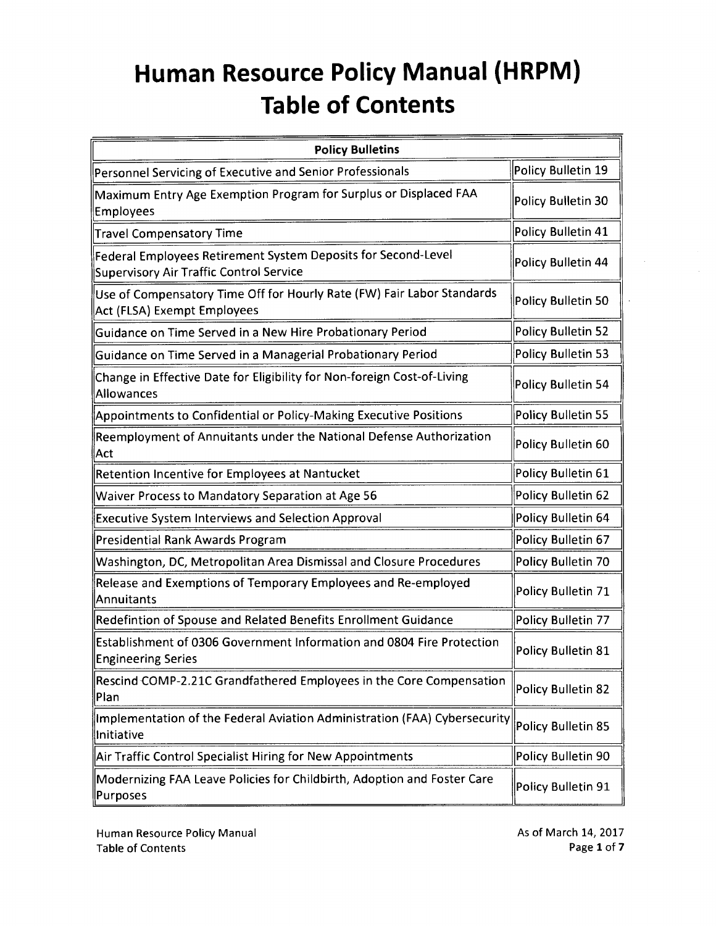| <b>Policy Bulletins</b>                                                                                  |                    |
|----------------------------------------------------------------------------------------------------------|--------------------|
| Personnel Servicing of Executive and Senior Professionals                                                | Policy Bulletin 19 |
| Maximum Entry Age Exemption Program for Surplus or Displaced FAA<br>Employees                            | Policy Bulletin 30 |
| Travel Compensatory Time                                                                                 | Policy Bulletin 41 |
| Federal Employees Retirement System Deposits for Second-Level<br>Supervisory Air Traffic Control Service | Policy Bulletin 44 |
| Use of Compensatory Time Off for Hourly Rate (FW) Fair Labor Standards<br>Act (FLSA) Exempt Employees    | Policy Bulletin 50 |
| Guidance on Time Served in a New Hire Probationary Period                                                | Policy Bulletin 52 |
| Guidance on Time Served in a Managerial Probationary Period                                              | Policy Bulletin 53 |
| Change in Effective Date for Eligibility for Non-foreign Cost-of-Living<br>Allowances                    | Policy Bulletin 54 |
| Appointments to Confidential or Policy-Making Executive Positions                                        | Policy Bulletin 55 |
| Reemployment of Annuitants under the National Defense Authorization<br>Act                               | Policy Bulletin 60 |
| Retention Incentive for Employees at Nantucket                                                           | Policy Bulletin 61 |
| Waiver Process to Mandatory Separation at Age 56                                                         | Policy Bulletin 62 |
| <b>Executive System Interviews and Selection Approval</b>                                                | Policy Bulletin 64 |
| Presidential Rank Awards Program                                                                         | Policy Bulletin 67 |
| Washington, DC, Metropolitan Area Dismissal and Closure Procedures                                       | Policy Bulletin 70 |
| Release and Exemptions of Temporary Employees and Re-employed<br><b>Annuitants</b>                       | Policy Bulletin 71 |
| Redefintion of Spouse and Related Benefits Enrollment Guidance                                           | Policy Bulletin 77 |
| Establishment of 0306 Government Information and 0804 Fire Protection<br><b>Engineering Series</b>       | Policy Bulletin 81 |
| Rescind COMP-2.21C Grandfathered Employees in the Core Compensation<br>Plan                              | Policy Bulletin 82 |
| Implementation of the Federal Aviation Administration (FAA) Cybersecurity<br>Initiative                  | Policy Bulletin 85 |
| Air Traffic Control Specialist Hiring for New Appointments                                               | Policy Bulletin 90 |
| Modernizing FAA Leave Policies for Childbirth, Adoption and Foster Care<br>Purposes                      | Policy Bulletin 91 |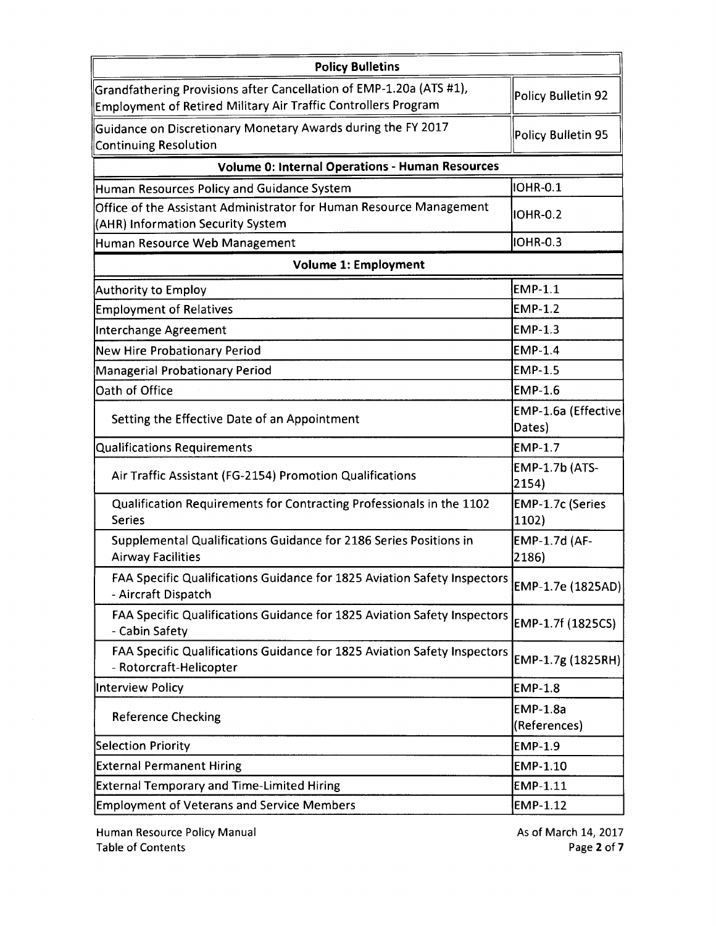| <b>Policy Bulletins</b>                                                                                                               |                                 |
|---------------------------------------------------------------------------------------------------------------------------------------|---------------------------------|
| Grandfathering Provisions after Cancellation of EMP-1.20a (ATS #1),<br>Employment of Retired Military Air Traffic Controllers Program | Policy Bulletin 92              |
| Guidance on Discretionary Monetary Awards during the FY 2017<br><b>Continuing Resolution</b>                                          | Policy Bulletin 95              |
| <b>Volume 0: Internal Operations - Human Resources</b>                                                                                |                                 |
| Human Resources Policy and Guidance System                                                                                            | IOHR-0.1                        |
| Office of the Assistant Administrator for Human Resource Management<br>(AHR) Information Security System                              | <b>IOHR-0.2</b>                 |
| Human Resource Web Management                                                                                                         | <b>IOHR-0.3</b>                 |
| <b>Volume 1: Employment</b>                                                                                                           |                                 |
| Authority to Employ                                                                                                                   | <b>EMP-1.1</b>                  |
| <b>Employment of Relatives</b>                                                                                                        | <b>EMP-1.2</b>                  |
| Interchange Agreement                                                                                                                 | <b>EMP-1.3</b>                  |
| New Hire Probationary Period                                                                                                          | EMP-1.4                         |
| Managerial Probationary Period                                                                                                        | <b>EMP-1.5</b>                  |
| Oath of Office                                                                                                                        | <b>EMP-1.6</b>                  |
| Setting the Effective Date of an Appointment                                                                                          | EMP-1.6a (Effective<br>Dates)   |
| <b>Qualifications Requirements</b>                                                                                                    | <b>EMP-1.7</b>                  |
| Air Traffic Assistant (FG-2154) Promotion Qualifications                                                                              | <b>EMP-1.7b (ATS-</b><br>2154)  |
| Qualification Requirements for Contracting Professionals in the 1102<br><b>Series</b>                                                 | EMP-1.7c (Series<br>1102)       |
| Supplemental Qualifications Guidance for 2186 Series Positions in<br><b>Airway Facilities</b>                                         | EMP-1.7d (AF-<br>2186)          |
| FAA Specific Qualifications Guidance for 1825 Aviation Safety Inspectors<br>- Aircraft Dispatch                                       | EMP-1.7e (1825AD)               |
| FAA Specific Qualifications Guidance for 1825 Aviation Safety Inspectors<br>- Cabin Safety                                            | EMP-1.7f (1825CS)               |
| FAA Specific Qualifications Guidance for 1825 Aviation Safety Inspectors<br>- Rotorcraft-Helicopter                                   | EMP-1.7g (1825RH)               |
| Interview Policy                                                                                                                      | <b>EMP-1.8</b>                  |
| <b>Reference Checking</b>                                                                                                             | <b>EMP-1.8a</b><br>(References) |
| Selection Priority                                                                                                                    | <b>EMP-1.9</b>                  |
| <b>External Permanent Hiring</b>                                                                                                      | EMP-1.10                        |
| <b>External Temporary and Time-Limited Hiring</b>                                                                                     | EMP-1.11                        |
| <b>Employment of Veterans and Service Members</b>                                                                                     | EMP-1.12                        |

As of March 14, 2017 Page **2** of7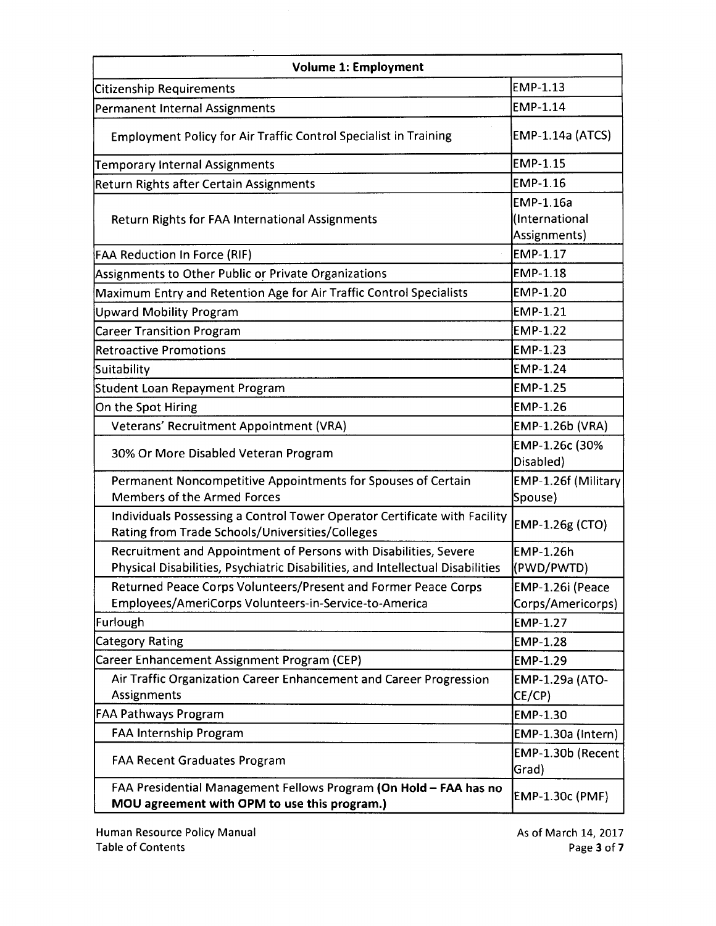| <b>Volume 1: Employment</b>                                                                                                                        |                                             |  |
|----------------------------------------------------------------------------------------------------------------------------------------------------|---------------------------------------------|--|
| <b>Citizenship Requirements</b>                                                                                                                    | EMP-1.13                                    |  |
| Permanent Internal Assignments                                                                                                                     | EMP-1.14                                    |  |
| <b>Employment Policy for Air Traffic Control Specialist in Training</b>                                                                            | EMP-1.14a (ATCS)                            |  |
| <b>Temporary Internal Assignments</b>                                                                                                              | EMP-1.15                                    |  |
| Return Rights after Certain Assignments                                                                                                            | <b>EMP-1.16</b>                             |  |
| Return Rights for FAA International Assignments                                                                                                    | EMP-1.16a<br>(International<br>Assignments) |  |
| <b>FAA Reduction In Force (RIF)</b>                                                                                                                | EMP-1.17                                    |  |
| Assignments to Other Public or Private Organizations                                                                                               | <b>EMP-1.18</b>                             |  |
| Maximum Entry and Retention Age for Air Traffic Control Specialists                                                                                | <b>EMP-1.20</b>                             |  |
| <b>Upward Mobility Program</b>                                                                                                                     | <b>EMP-1.21</b>                             |  |
| <b>Career Transition Program</b>                                                                                                                   | <b>EMP-1.22</b>                             |  |
| Retroactive Promotions                                                                                                                             | <b>EMP-1.23</b>                             |  |
| Suitability                                                                                                                                        | <b>EMP-1.24</b>                             |  |
| Student Loan Repayment Program                                                                                                                     | EMP-1.25                                    |  |
| On the Spot Hiring                                                                                                                                 | EMP-1.26                                    |  |
| Veterans' Recruitment Appointment (VRA)                                                                                                            | EMP-1.26b (VRA)                             |  |
| 30% Or More Disabled Veteran Program                                                                                                               | EMP-1.26c (30%<br>Disabled)                 |  |
| Permanent Noncompetitive Appointments for Spouses of Certain<br><b>Members of the Armed Forces</b>                                                 | EMP-1.26f (Military<br>Spouse)              |  |
| Individuals Possessing a Control Tower Operator Certificate with Facility<br>Rating from Trade Schools/Universities/Colleges                       | EMP-1.26g (CTO)                             |  |
| Recruitment and Appointment of Persons with Disabilities, Severe<br>Physical Disabilities, Psychiatric Disabilities, and Intellectual Disabilities | EMP-1.26h<br>(PWD/PWTD)                     |  |
| Returned Peace Corps Volunteers/Present and Former Peace Corps                                                                                     | EMP-1.26i (Peace                            |  |
| Employees/AmeriCorps Volunteers-in-Service-to-America                                                                                              | Corps/Americorps)                           |  |
| Furlough                                                                                                                                           | EMP-1.27                                    |  |
| <b>Category Rating</b>                                                                                                                             | EMP-1.28                                    |  |
| Career Enhancement Assignment Program (CEP)                                                                                                        | EMP-1.29                                    |  |
| Air Traffic Organization Career Enhancement and Career Progression<br>Assignments                                                                  | EMP-1.29a (ATO-<br>CE/CP)                   |  |
| <b>FAA Pathways Program</b>                                                                                                                        | EMP-1.30                                    |  |
| FAA Internship Program                                                                                                                             | EMP-1.30a (Intern)                          |  |
| <b>FAA Recent Graduates Program</b>                                                                                                                | EMP-1.30b (Recent<br>Grad)                  |  |
| FAA Presidential Management Fellows Program (On Hold - FAA has no<br>MOU agreement with OPM to use this program.)                                  | EMP-1.30c (PMF)                             |  |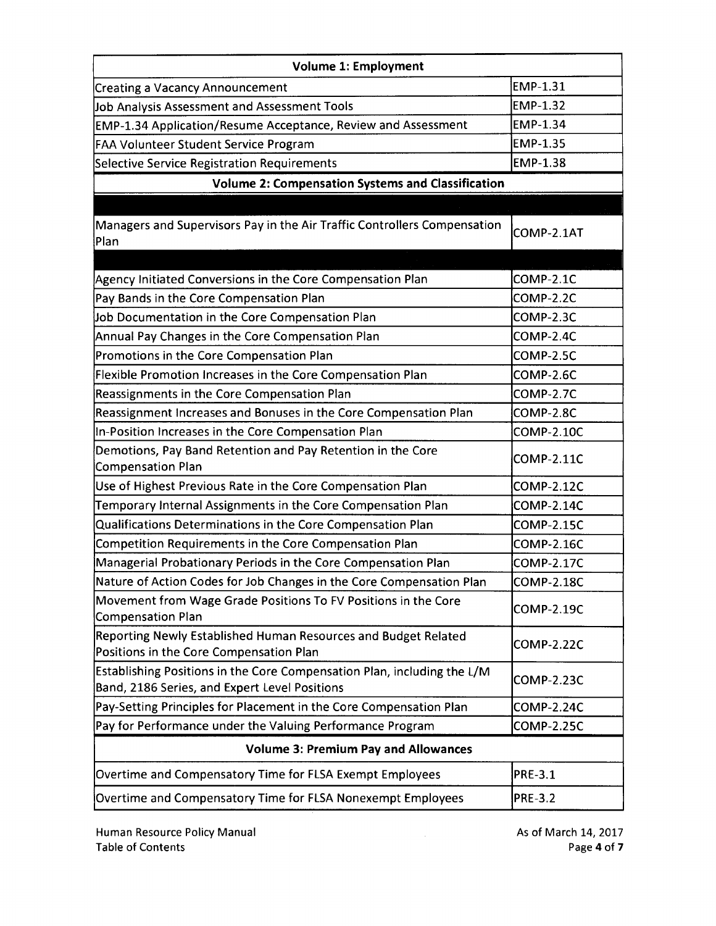| <b>Volume 1: Employment</b>                                                                                              |                   |  |
|--------------------------------------------------------------------------------------------------------------------------|-------------------|--|
| <b>Creating a Vacancy Announcement</b>                                                                                   | EMP-1.31          |  |
| Job Analysis Assessment and Assessment Tools                                                                             | <b>EMP-1.32</b>   |  |
| EMP-1.34 Application/Resume Acceptance, Review and Assessment                                                            | EMP-1.34          |  |
| <b>FAA Volunteer Student Service Program</b>                                                                             | EMP-1.35          |  |
| Selective Service Registration Requirements                                                                              | <b>EMP-1.38</b>   |  |
| <b>Volume 2: Compensation Systems and Classification</b>                                                                 |                   |  |
|                                                                                                                          |                   |  |
| Managers and Supervisors Pay in the Air Traffic Controllers Compensation<br>Plan                                         | COMP-2.1AT        |  |
|                                                                                                                          |                   |  |
| Agency Initiated Conversions in the Core Compensation Plan                                                               | COMP-2.1C         |  |
| Pay Bands in the Core Compensation Plan                                                                                  | COMP-2.2C         |  |
| Job Documentation in the Core Compensation Plan                                                                          | COMP-2.3C         |  |
| Annual Pay Changes in the Core Compensation Plan                                                                         | COMP-2.4C         |  |
| Promotions in the Core Compensation Plan                                                                                 | COMP-2.5C         |  |
| Flexible Promotion Increases in the Core Compensation Plan                                                               | COMP-2.6C         |  |
| Reassignments in the Core Compensation Plan                                                                              | <b>COMP-2.7C</b>  |  |
| Reassignment Increases and Bonuses in the Core Compensation Plan                                                         | COMP-2.8C         |  |
| In-Position Increases in the Core Compensation Plan                                                                      | <b>COMP-2.10C</b> |  |
| Demotions, Pay Band Retention and Pay Retention in the Core<br>Compensation Plan                                         | <b>COMP-2.11C</b> |  |
| Use of Highest Previous Rate in the Core Compensation Plan                                                               | <b>COMP-2.12C</b> |  |
| Temporary Internal Assignments in the Core Compensation Plan                                                             | <b>COMP-2.14C</b> |  |
| Qualifications Determinations in the Core Compensation Plan                                                              | <b>COMP-2.15C</b> |  |
| Competition Requirements in the Core Compensation Plan                                                                   | <b>COMP-2.16C</b> |  |
| Managerial Probationary Periods in the Core Compensation Plan                                                            | <b>COMP-2.17C</b> |  |
| Nature of Action Codes for Job Changes in the Core Compensation Plan                                                     | <b>COMP-2.18C</b> |  |
| Movement from Wage Grade Positions To FV Positions in the Core<br><b>Compensation Plan</b>                               | COMP-2.19C        |  |
| Reporting Newly Established Human Resources and Budget Related<br>Positions in the Core Compensation Plan                | COMP-2.22C        |  |
| Establishing Positions in the Core Compensation Plan, including the L/M<br>Band, 2186 Series, and Expert Level Positions | COMP-2.23C        |  |
| Pay-Setting Principles for Placement in the Core Compensation Plan                                                       | <b>COMP-2.24C</b> |  |
| Pay for Performance under the Valuing Performance Program                                                                | <b>COMP-2.25C</b> |  |
| <b>Volume 3: Premium Pay and Allowances</b>                                                                              |                   |  |
| Overtime and Compensatory Time for FLSA Exempt Employees                                                                 | <b>PRE-3.1</b>    |  |
| Overtime and Compensatory Time for FLSA Nonexempt Employees                                                              | <b>PRE-3.2</b>    |  |

As of March 14, 2017 Page **4** of 7

 $\mathcal{L}^{\text{max}}_{\text{max}}$  and  $\mathcal{L}^{\text{max}}_{\text{max}}$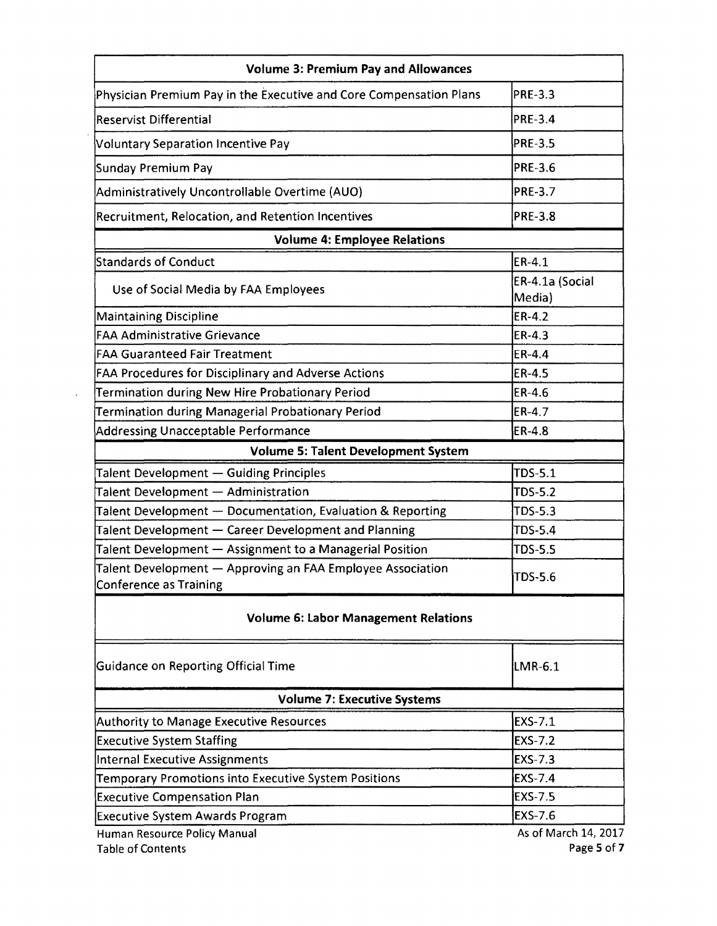| <b>Volume 3: Premium Pay and Allowances</b>                                                 |                           |
|---------------------------------------------------------------------------------------------|---------------------------|
| Physician Premium Pay in the Executive and Core Compensation Plans                          | <b>PRE-3.3</b>            |
| <b>Reservist Differential</b>                                                               | <b>PRE-3.4</b>            |
| <b>Voluntary Separation Incentive Pay</b>                                                   | <b>PRE-3.5</b>            |
| Sunday Premium Pay                                                                          | <b>PRE-3.6</b>            |
| Administratively Uncontrollable Overtime (AUO)                                              | <b>PRE-3.7</b>            |
| Recruitment, Relocation, and Retention Incentives                                           | <b>PRE-3.8</b>            |
| <b>Volume 4: Employee Relations</b>                                                         |                           |
| <b>Standards of Conduct</b>                                                                 | ER-4.1                    |
| Use of Social Media by FAA Employees                                                        | ER-4.1a (Social<br>Media) |
| <b>Maintaining Discipline</b>                                                               | ER-4.2                    |
| <b>FAA Administrative Grievance</b>                                                         | ER-4.3                    |
| <b>FAA Guaranteed Fair Treatment</b>                                                        | ER-4.4                    |
| FAA Procedures for Disciplinary and Adverse Actions                                         | ER-4.5                    |
| Termination during New Hire Probationary Period                                             | ER-4.6                    |
| Termination during Managerial Probationary Period                                           | ER-4.7                    |
| <b>Addressing Unacceptable Performance</b>                                                  | ER-4.8                    |
| <b>Volume 5: Talent Development System</b>                                                  |                           |
| Talent Development - Guiding Principles                                                     | TDS-5.1                   |
| Talent Development - Administration                                                         | TDS-5.2                   |
| Talent Development - Documentation, Evaluation & Reporting                                  | TDS-5.3                   |
| Talent Development - Career Development and Planning                                        | TDS-5.4                   |
| Talent Development - Assignment to a Managerial Position                                    | <b>TDS-5.5</b>            |
| Talent Development - Approving an FAA Employee Association<br><b>Conference as Training</b> | TDS-5.6                   |
| <b>Volume 6: Labor Management Relations</b>                                                 |                           |
| <b>Guidance on Reporting Official Time</b>                                                  | LMR-6.1                   |
| <b>Volume 7: Executive Systems</b>                                                          |                           |
| <b>Authority to Manage Executive Resources</b>                                              | EXS-7.1                   |
| <b>Executive System Staffing</b>                                                            | <b>EXS-7.2</b>            |
| <b>Internal Executive Assignments</b>                                                       | <b>EXS-7.3</b>            |
| Temporary Promotions into Executive System Positions                                        | EXS-7.4                   |
| <b>Executive Compensation Plan</b>                                                          | <b>EXS-7.5</b>            |
|                                                                                             |                           |
| <b>Executive System Awards Program</b>                                                      | EXS-7.6                   |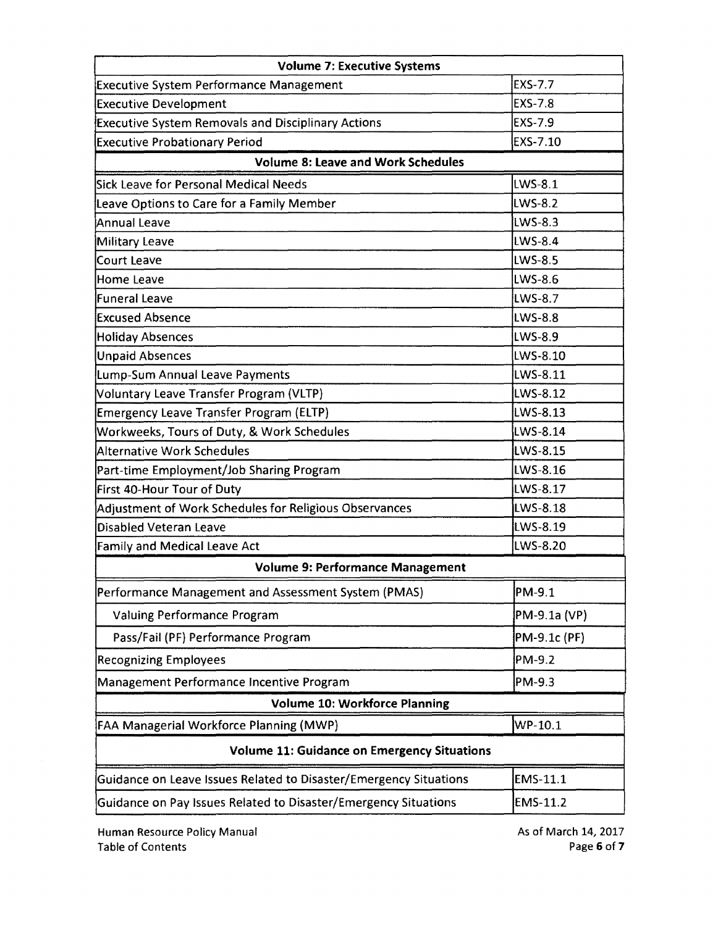| <b>Volume 7: Executive Systems</b>                                |                |
|-------------------------------------------------------------------|----------------|
| <b>Executive System Performance Management</b>                    | EXS-7.7        |
| <b>Executive Development</b>                                      | <b>EXS-7.8</b> |
| Executive System Removals and Disciplinary Actions                | <b>EXS-7.9</b> |
| <b>Executive Probationary Period</b>                              | EXS-7.10       |
| <b>Volume 8: Leave and Work Schedules</b>                         |                |
| Sick Leave for Personal Medical Needs                             | <b>LWS-8.1</b> |
| Leave Options to Care for a Family Member                         | <b>LWS-8.2</b> |
| Annual Leave                                                      | <b>LWS-8.3</b> |
| Military Leave                                                    | <b>LWS-8.4</b> |
| Court Leave                                                       | <b>LWS-8.5</b> |
| <b>Home Leave</b>                                                 | <b>LWS-8.6</b> |
| Funeral Leave                                                     | LWS-8.7        |
| <b>Excused Absence</b>                                            | LWS-8.8        |
| <b>Holiday Absences</b>                                           | <b>LWS-8.9</b> |
| <b>Unpaid Absences</b>                                            | LWS-8.10       |
| Lump-Sum Annual Leave Payments                                    | LWS-8.11       |
| Voluntary Leave Transfer Program (VLTP)                           | LWS-8.12       |
| <b>Emergency Leave Transfer Program (ELTP)</b>                    | LWS-8.13       |
| Workweeks, Tours of Duty, & Work Schedules                        | LWS-8.14       |
| Alternative Work Schedules                                        | LWS-8.15       |
| Part-time Employment/Job Sharing Program                          | LWS-8.16       |
| First 40-Hour Tour of Duty                                        | LWS-8.17       |
| Adjustment of Work Schedules for Religious Observances            | LWS-8.18       |
| Disabled Veteran Leave                                            | LWS-8.19       |
| <b>Family and Medical Leave Act</b>                               | LWS-8.20       |
| <b>Volume 9: Performance Management</b>                           |                |
| Performance Management and Assessment System (PMAS)               | PM-9.1         |
| Valuing Performance Program                                       | PM-9.1a (VP)   |
| Pass/Fail (PF) Performance Program                                | PM-9.1c (PF)   |
| <b>Recognizing Employees</b>                                      | PM-9.2         |
| Management Performance Incentive Program                          | PM-9.3         |
| <b>Volume 10: Workforce Planning</b>                              |                |
| FAA Managerial Workforce Planning (MWP)                           | WP-10.1        |
| <b>Volume 11: Guidance on Emergency Situations</b>                |                |
| Guidance on Leave Issues Related to Disaster/Emergency Situations | EMS-11.1       |
| Guidance on Pay Issues Related to Disaster/Emergency Situations   | EMS-11.2       |

As of March 14, 2017 Page **6** of7